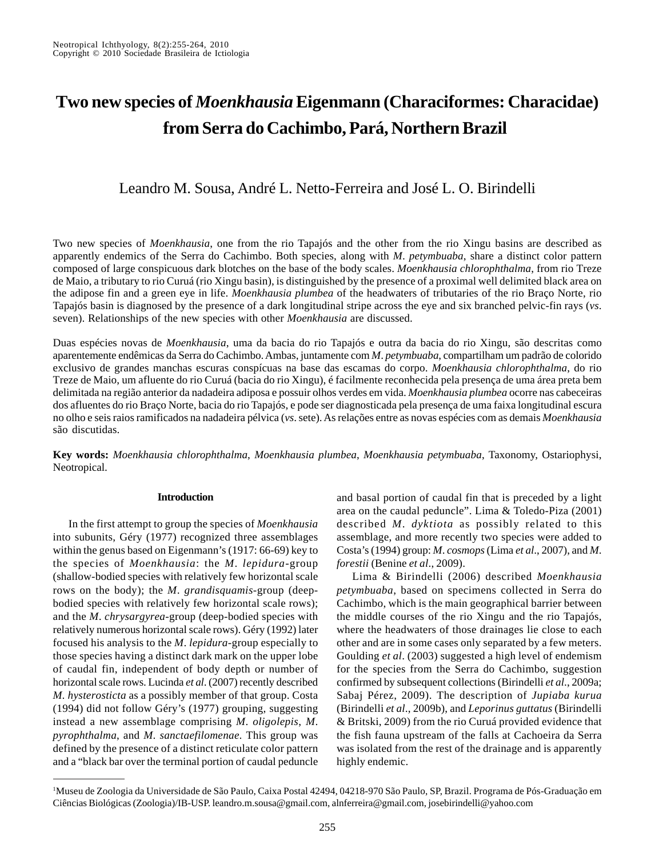# **Two new species of** *Moenkhausia* **Eigenmann (Characiformes: Characidae) from Serra do Cachimbo, Pará, Northern Brazil**

Leandro M. Sousa, André L. Netto-Ferreira and José L. O. Birindelli

Two new species of *Moenkhausia*, one from the rio Tapajós and the other from the rio Xingu basins are described as apparently endemics of the Serra do Cachimbo. Both species, along with *M*. *petymbuaba*, share a distinct color pattern composed of large conspicuous dark blotches on the base of the body scales. *Moenkhausia chlorophthalma*, from rio Treze de Maio, a tributary to rio Curuá (rio Xingu basin), is distinguished by the presence of a proximal well delimited black area on the adipose fin and a green eye in life. *Moenkhausia plumbea* of the headwaters of tributaries of the rio Braço Norte, rio Tapajós basin is diagnosed by the presence of a dark longitudinal stripe across the eye and six branched pelvic-fin rays (*vs*. seven). Relationships of the new species with other *Moenkhausia* are discussed.

Duas espécies novas de *Moenkhausia*, uma da bacia do rio Tapajós e outra da bacia do rio Xingu, são descritas como aparentemente endêmicas da Serra do Cachimbo. Ambas, juntamente com *M*. *petymbuaba*, compartilham um padrão de colorido exclusivo de grandes manchas escuras conspícuas na base das escamas do corpo. *Moenkhausia chlorophthalma*, do rio Treze de Maio, um afluente do rio Curuá (bacia do rio Xingu), é facilmente reconhecida pela presença de uma área preta bem delimitada na região anterior da nadadeira adiposa e possuir olhos verdes em vida. *Moenkhausia plumbea* ocorre nas cabeceiras dos afluentes do rio Braço Norte, bacia do rio Tapajós, e pode ser diagnosticada pela presença de uma faixa longitudinal escura no olho e seis raios ramificados na nadadeira pélvica (*vs*. sete). As relações entre as novas espécies com as demais *Moenkhausia* são discutidas.

**Key words:** *Moenkhausia chlorophthalma*, *Moenkhausia plumbea*, *Moenkhausia petymbuaba*, Taxonomy, Ostariophysi, Neotropical.

## **Introduction**

In the first attempt to group the species of *Moenkhausia* into subunits, Géry (1977) recognized three assemblages within the genus based on Eigenmann's (1917: 66-69) key to the species of *Moenkhausia*: the *M*. *lepidura-*group (shallow-bodied species with relatively few horizontal scale rows on the body); the *M*. *grandisquamis*-group (deepbodied species with relatively few horizontal scale rows); and the *M*. *chrysargyrea*-group (deep-bodied species with relatively numerous horizontal scale rows). Géry (1992) later focused his analysis to the *M*. *lepidura*-group especially to those species having a distinct dark mark on the upper lobe of caudal fin, independent of body depth or number of horizontal scale rows. Lucinda *et al*. (2007) recently described *M. hysterosticta* as a possibly member of that group. Costa (1994) did not follow Géry's (1977) grouping, suggesting instead a new assemblage comprising *M*. *oligolepis*, *M*. *pyrophthalma*, and *M*. *sanctaefilomenae.* This group was defined by the presence of a distinct reticulate color pattern and a "black bar over the terminal portion of caudal peduncle

and basal portion of caudal fin that is preceded by a light area on the caudal peduncle". Lima & Toledo-Piza (2001) described *M*. *dyktiota* as possibly related to this assemblage, and more recently two species were added to Costa's (1994) group: *M*. *cosmops* (Lima *et al*., 2007), and *M*. *forestii* (Benine *et al*., 2009).

Lima & Birindelli (2006) described *Moenkhausia petymbuaba*, based on specimens collected in Serra do Cachimbo, which is the main geographical barrier between the middle courses of the rio Xingu and the rio Tapajós, where the headwaters of those drainages lie close to each other and are in some cases only separated by a few meters. Goulding *et al*. (2003) suggested a high level of endemism for the species from the Serra do Cachimbo, suggestion confirmed by subsequent collections (Birindelli *et al*., 2009a; Sabaj Pérez, 2009). The description of *Jupiaba kurua* (Birindelli *et al*., 2009b), and *Leporinus guttatus* (Birindelli & Britski, 2009) from the rio Curuá provided evidence that the fish fauna upstream of the falls at Cachoeira da Serra was isolated from the rest of the drainage and is apparently highly endemic.

<sup>1</sup> Museu de Zoologia da Universidade de São Paulo, Caixa Postal 42494, 04218-970 São Paulo, SP, Brazil. Programa de Pós-Graduação em Ciências Biológicas (Zoologia)/IB-USP. leandro.m.sousa@gmail.com, alnferreira@gmail.com, josebirindelli@yahoo.com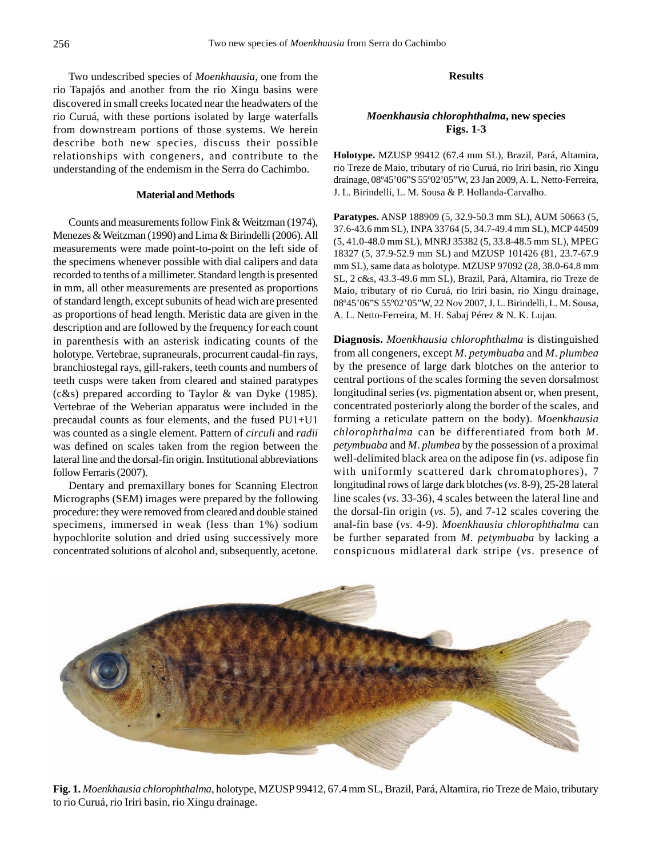Two undescribed species of *Moenkhausia*, one from the rio Tapajós and another from the rio Xingu basins were discovered in small creeks located near the headwaters of the rio Curuá, with these portions isolated by large waterfalls from downstream portions of those systems. We herein describe both new species*,* discuss their possible relationships with congeners, and contribute to the understanding of the endemism in the Serra do Cachimbo.

## **Material and Methods**

Counts and measurements follow Fink & Weitzman (1974), Menezes & Weitzman (1990) and Lima & Birindelli (2006). All measurements were made point-to-point on the left side of the specimens whenever possible with dial calipers and data recorded to tenths of a millimeter. Standard length is presented in mm, all other measurements are presented as proportions of standard length, except subunits of head wich are presented as proportions of head length. Meristic data are given in the description and are followed by the frequency for each count in parenthesis with an asterisk indicating counts of the holotype. Vertebrae, supraneurals, procurrent caudal-fin rays, branchiostegal rays, gill-rakers, teeth counts and numbers of teeth cusps were taken from cleared and stained paratypes (c&s) prepared according to Taylor & van Dyke (1985). Vertebrae of the Weberian apparatus were included in the precaudal counts as four elements, and the fused PU1+U1 was counted as a single element. Pattern of *circuli* and *radii* was defined on scales taken from the region between the lateral line and the dorsal-fin origin. Institutional abbreviations follow Ferraris (2007).

Dentary and premaxillary bones for Scanning Electron Micrographs (SEM) images were prepared by the following procedure: they were removed from cleared and double stained specimens, immersed in weak (less than 1%) sodium hypochlorite solution and dried using successively more concentrated solutions of alcohol and, subsequently, acetone.

#### **Results**

## *Moenkhausia chlorophthalma***, new species Figs. 1-3**

**Holotype.** MZUSP 99412 (67.4 mm SL), Brazil, Pará, Altamira, rio Treze de Maio, tributary of rio Curuá, rio Iriri basin, rio Xingu drainage, 08º45'06"S 55º02'05"W, 23 Jan 2009, A. L. Netto-Ferreira, J. L. Birindelli, L. M. Sousa & P. Hollanda-Carvalho.

**Paratypes.** ANSP 188909 (5, 32.9-50.3 mm SL), AUM 50663 (5, 37.6-43.6 mm SL), INPA 33764 (5, 34.7-49.4 mm SL), MCP 44509 (5, 41.0-48.0 mm SL), MNRJ 35382 (5, 33.8-48.5 mm SL), MPEG 18327 (5, 37.9-52.9 mm SL) and MZUSP 101426 (81, 23.7-67.9 mm SL), same data as holotype. MZUSP 97092 (28, 38.0-64.8 mm SL, 2 c&s, 43.3-49.6 mm SL), Brazil, Pará, Altamira, rio Treze de Maio, tributary of rio Curuá, rio Iriri basin, rio Xingu drainage, 08º45'06"S 55º02'05"W, 22 Nov 2007, J. L. Birindelli, L. M. Sousa, A. L. Netto-Ferreira, M. H. Sabaj Pérez & N. K. Lujan.

**Diagnosis.** *Moenkhausia chlorophthalma* is distinguished from all congeners, except *M*. *petymbuaba* and *M*. *plumbea* by the presence of large dark blotches on the anterior to central portions of the scales forming the seven dorsalmost longitudinal series (*vs*. pigmentation absent or, when present, concentrated posteriorly along the border of the scales, and forming a reticulate pattern on the body). *Moenkhausia chlorophthalma* can be differentiated from both *M*. *petymbuaba* and *M*. *plumbea* by the possession of a proximal well-delimited black area on the adipose fin (*vs*. adipose fin with uniformly scattered dark chromatophores), 7 longitudinal rows of large dark blotches (*vs*. 8-9), 25-28 lateral line scales (*vs*. 33-36), 4 scales between the lateral line and the dorsal-fin origin (*vs*. 5), and 7-12 scales covering the anal-fin base (*vs*. 4-9). *Moenkhausia chlorophthalma* can be further separated from *M*. *petymbuaba* by lacking a conspicuous midlateral dark stripe (*vs*. presence of



**Fig. 1.** *Moenkhausia chlorophthalma*, holotype, MZUSP 99412, 67.4 mm SL, Brazil, Pará, Altamira, rio Treze de Maio, tributary to rio Curuá, rio Iriri basin, rio Xingu drainage.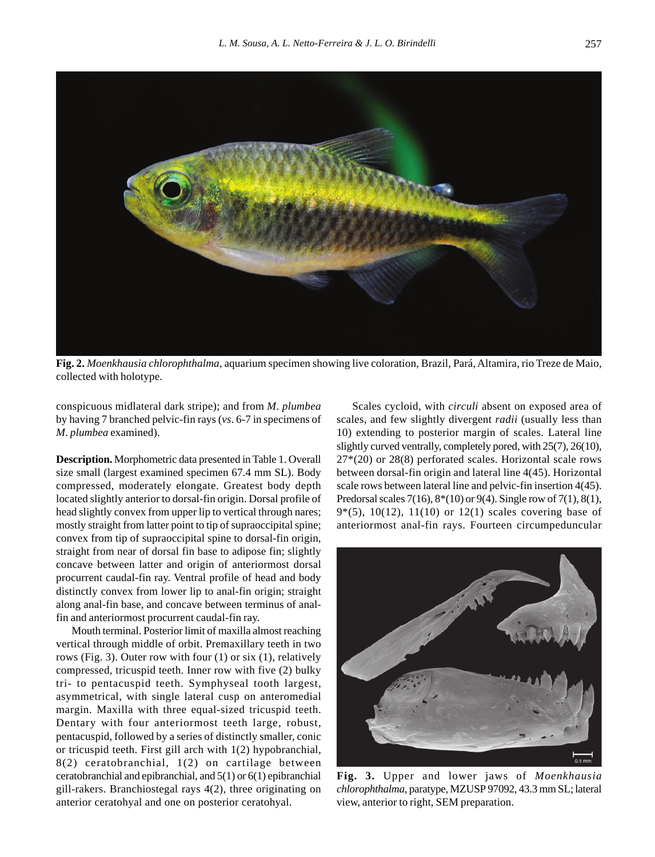

**Fig. 2.** *Moenkhausia chlorophthalma*, aquarium specimen showing live coloration, Brazil, Pará, Altamira, rio Treze de Maio, collected with holotype.

conspicuous midlateral dark stripe); and from *M*. *plumbea* by having 7 branched pelvic-fin rays (*vs*. 6-7 in specimens of *M*. *plumbea* examined).

**Description.** Morphometric data presented in Table 1. Overall size small (largest examined specimen 67.4 mm SL). Body compressed, moderately elongate. Greatest body depth located slightly anterior to dorsal-fin origin. Dorsal profile of head slightly convex from upper lip to vertical through nares; mostly straight from latter point to tip of supraoccipital spine; convex from tip of supraoccipital spine to dorsal-fin origin, straight from near of dorsal fin base to adipose fin; slightly concave between latter and origin of anteriormost dorsal procurrent caudal-fin ray. Ventral profile of head and body distinctly convex from lower lip to anal-fin origin; straight along anal-fin base, and concave between terminus of analfin and anteriormost procurrent caudal-fin ray.

Mouth terminal. Posterior limit of maxilla almost reaching vertical through middle of orbit. Premaxillary teeth in two rows (Fig. 3). Outer row with four (1) or six (1), relatively compressed, tricuspid teeth. Inner row with five (2) bulky tri- to pentacuspid teeth. Symphyseal tooth largest, asymmetrical, with single lateral cusp on anteromedial margin. Maxilla with three equal-sized tricuspid teeth. Dentary with four anteriormost teeth large, robust, pentacuspid, followed by a series of distinctly smaller, conic or tricuspid teeth. First gill arch with 1(2) hypobranchial, 8(2) ceratobranchial, 1(2) on cartilage between ceratobranchial and epibranchial, and 5(1) or 6(1) epibranchial gill-rakers. Branchiostegal rays 4(2), three originating on anterior ceratohyal and one on posterior ceratohyal.

Scales cycloid, with *circuli* absent on exposed area of scales, and few slightly divergent *radii* (usually less than 10) extending to posterior margin of scales. Lateral line slightly curved ventrally, completely pored, with 25(7), 26(10), 27\*(20) or 28(8) perforated scales. Horizontal scale rows between dorsal-fin origin and lateral line 4(45). Horizontal scale rows between lateral line and pelvic-fin insertion 4(45). Predorsal scales 7(16), 8\*(10) or 9(4). Single row of 7(1), 8(1), 9 $*(5)$ , 10(12), 11(10) or 12(1) scales covering base of anteriormost anal-fin rays. Fourteen circumpeduncular



**Fig. 3.** Upper and lower jaws of *Moenkhausia chlorophthalma*, paratype, MZUSP 97092, 43.3 mm SL; lateral view, anterior to right, SEM preparation.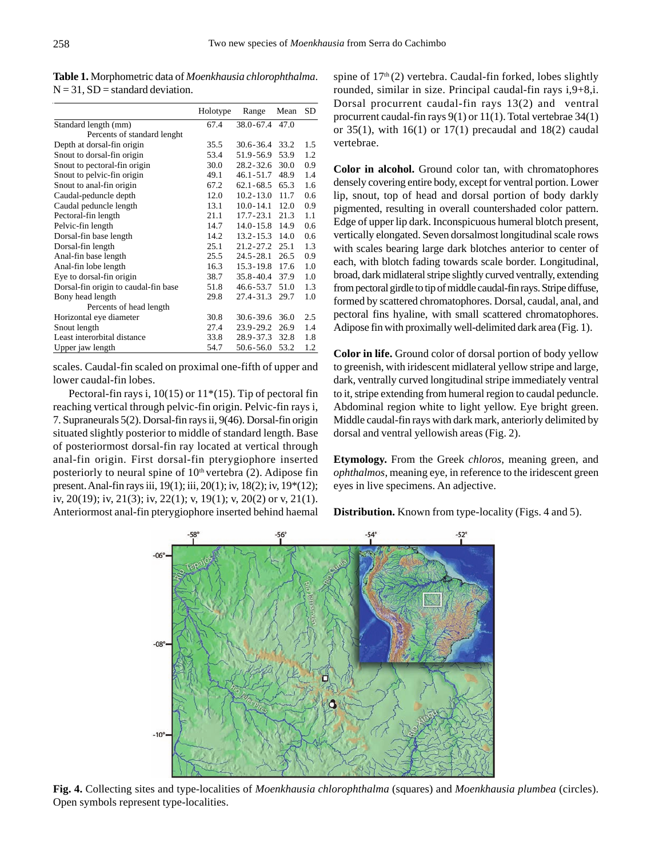|                                      | Holotype | Range                | Mean | SD  |
|--------------------------------------|----------|----------------------|------|-----|
| Standard length (mm)                 | 67.4     | 38.0-67.4 47.0       |      |     |
| Percents of standard lenght          |          |                      |      |     |
| Depth at dorsal-fin origin           | 35.5     | $30.6 - 36.4$        | 33.2 | 1.5 |
| Snout to dorsal-fin origin           | 53.4     | 51.9-56.9            | 53.9 | 1.2 |
| Snout to pectoral-fin origin         | 30.0     | $28.2 - 32.6$        | 30.0 | 0.9 |
| Snout to pelvic-fin origin           | 49.1     | $46.1 - 51.7$        | 48.9 | 1.4 |
| Snout to anal-fin origin             | 67.2     | $62.1 - 68.5$ $65.3$ |      | 1.6 |
| Caudal-peduncle depth                | 12.0     | $10.2 - 13.0$        | 11.7 | 0.6 |
| Caudal peduncle length               | 13.1     | $10.0 - 14.1$        | 12.0 | 0.9 |
| Pectoral-fin length                  | 21.1     | $17.7 - 23.1$        | 21.3 | 1.1 |
| Pelvic-fin length                    | 14.7     | 14.0-15.8 14.9       |      | 0.6 |
| Dorsal-fin base length               | 14.2     | $13.2 - 15.3$ 14.0   |      | 0.6 |
| Dorsal-fin length                    | 25.1     | 21.2-27.2 25.1       |      | 1.3 |
| Anal-fin base length                 | 25.5     | 24.5-28.1            | 26.5 | 0.9 |
| Anal-fin lobe length                 | 16.3     | $15.3 - 19.8$        | 17.6 | 1.0 |
| Eye to dorsal-fin origin             | 38.7     | $35.8 - 40.4$        | 37.9 | 1.0 |
| Dorsal-fin origin to caudal-fin base | 51.8     | 46.6-53.7            | 51.0 | 1.3 |
| Bony head length                     | 29.8     | 27.4-31.3            | 29.7 | 1.0 |
| Percents of head length              |          |                      |      |     |
| Horizontal eye diameter              | 30.8     | $30.6 - 39.6$        | 36.0 | 2.5 |
| Snout length                         | 27.4     | 23.9-29.2            | 26.9 | 1.4 |
| Least interorbital distance          | 33.8     | 28.9-37.3            | 32.8 | 1.8 |
| Upper jaw length                     | 54.7     | $50.6 - 56.0$        | 53.2 | 1.2 |

**Table 1.** Morphometric data of *Moenkhausia chlorophthalma*.  $N = 31$ ,  $SD = standard deviation$ .

scales. Caudal-fin scaled on proximal one-fifth of upper and lower caudal-fin lobes.

Pectoral-fin rays i,  $10(15)$  or  $11*(15)$ . Tip of pectoral fin reaching vertical through pelvic-fin origin. Pelvic-fin rays i, 7. Supraneurals 5(2). Dorsal-fin rays ii, 9(46). Dorsal-fin origin situated slightly posterior to middle of standard length. Base of posteriormost dorsal-fin ray located at vertical through anal-fin origin. First dorsal-fin pterygiophore inserted posteriorly to neural spine of  $10<sup>th</sup>$  vertebra (2). Adipose fin present. Anal-fin rays iii, 19(1); iii, 20(1); iv, 18(2); iv, 19\*(12); iv, 20(19); iv, 21(3); iv, 22(1); v, 19(1); v, 20(2) or v, 21(1). Anteriormost anal-fin pterygiophore inserted behind haemal

spine of  $17<sup>th</sup>(2)$  vertebra. Caudal-fin forked, lobes slightly rounded, similar in size. Principal caudal-fin rays i,9+8,i. Dorsal procurrent caudal-fin rays 13(2) and ventral procurrent caudal-fin rays 9(1) or 11(1). Total vertebrae 34(1) or 35(1), with 16(1) or 17(1) precaudal and 18(2) caudal vertebrae.

**Color in alcohol.** Ground color tan, with chromatophores densely covering entire body, except for ventral portion. Lower lip, snout, top of head and dorsal portion of body darkly pigmented, resulting in overall countershaded color pattern. Edge of upper lip dark. Inconspicuous humeral blotch present, vertically elongated. Seven dorsalmost longitudinal scale rows with scales bearing large dark blotches anterior to center of each, with blotch fading towards scale border. Longitudinal, broad, dark midlateral stripe slightly curved ventrally, extending from pectoral girdle to tip of middle caudal-fin rays. Stripe diffuse, formed by scattered chromatophores. Dorsal, caudal, anal, and pectoral fins hyaline, with small scattered chromatophores. Adipose fin with proximally well-delimited dark area (Fig. 1).

**Color in life.** Ground color of dorsal portion of body yellow to greenish, with iridescent midlateral yellow stripe and large, dark, ventrally curved longitudinal stripe immediately ventral to it, stripe extending from humeral region to caudal peduncle. Abdominal region white to light yellow. Eye bright green. Middle caudal-fin rays with dark mark, anteriorly delimited by dorsal and ventral yellowish areas (Fig. 2).

**Etymology.** From the Greek *chloros*, meaning green, and *ophthalmos*, meaning eye, in reference to the iridescent green eyes in live specimens. An adjective.

**Distribution.** Known from type-locality (Figs. 4 and 5).



**Fig. 4.** Collecting sites and type-localities of *Moenkhausia chlorophthalma* (squares) and *Moenkhausia plumbea* (circles). Open symbols represent type-localities.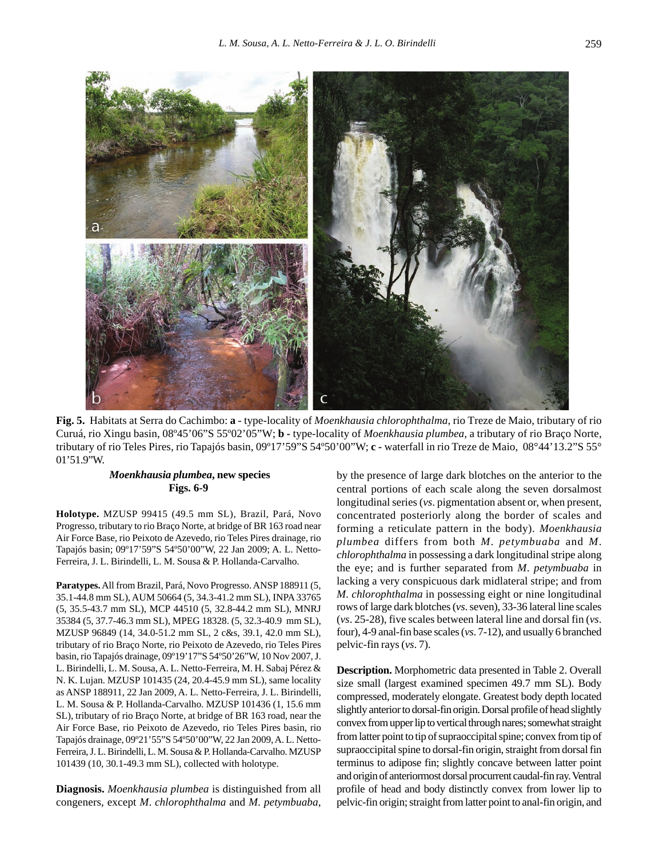

**Fig. 5.** Habitats at Serra do Cachimbo: **a** - type-locality of *Moenkhausia chlorophthalma*, rio Treze de Maio, tributary of rio Curuá, rio Xingu basin, 08º45'06"S 55º02'05"W; **b -** type-locality of *Moenkhausia plumbea*, a tributary of rio Braço Norte, tributary of rio Teles Pires, rio Tapajós basin, 09º17'59"S 54º50'00"W; **c -** waterfall in rio Treze de Maio, 08°44'13.2"S 55° 01'51.9"W.

## *Moenkhausia plumbea***, new species Figs. 6-9**

**Holotype.** MZUSP 99415 (49.5 mm SL), Brazil, Pará, Novo Progresso, tributary to rio Braço Norte, at bridge of BR 163 road near Air Force Base, rio Peixoto de Azevedo, rio Teles Pires drainage, rio Tapajós basin; 09º17'59"S 54º50'00"W, 22 Jan 2009; A. L. Netto-Ferreira, J. L. Birindelli, L. M. Sousa & P. Hollanda-Carvalho.

**Paratypes.** All from Brazil, Pará, Novo Progresso. ANSP 188911 (5, 35.1-44.8 mm SL), AUM 50664 (5, 34.3-41.2 mm SL), INPA 33765 (5, 35.5-43.7 mm SL), MCP 44510 (5, 32.8-44.2 mm SL), MNRJ 35384 (5, 37.7-46.3 mm SL), MPEG 18328. (5, 32.3-40.9 mm SL), MZUSP 96849 (14, 34.0-51.2 mm SL, 2 c&s, 39.1, 42.0 mm SL), tributary of rio Braço Norte, rio Peixoto de Azevedo, rio Teles Pires basin, rio Tapajós drainage, 09º19'17"S 54º50'26"W, 10 Nov 2007, J. L. Birindelli, L. M. Sousa, A. L. Netto-Ferreira, M. H. Sabaj Pérez & N. K. Lujan. MZUSP 101435 (24, 20.4-45.9 mm SL), same locality as ANSP 188911, 22 Jan 2009, A. L. Netto-Ferreira, J. L. Birindelli, L. M. Sousa & P. Hollanda-Carvalho. MZUSP 101436 (1, 15.6 mm SL), tributary of rio Braço Norte, at bridge of BR 163 road, near the Air Force Base, rio Peixoto de Azevedo, rio Teles Pires basin, rio Tapajós drainage, 09º21'55"S 54º50'00"W, 22 Jan 2009, A. L. Netto-Ferreira, J. L. Birindelli, L. M. Sousa & P. Hollanda-Carvalho. MZUSP 101439 (10, 30.1-49.3 mm SL), collected with holotype.

**Diagnosis.** *Moenkhausia plumbea* is distinguished from all congeners, except *M*. *chlorophthalma* and *M*. *petymbuaba*, by the presence of large dark blotches on the anterior to the central portions of each scale along the seven dorsalmost longitudinal series (*vs*. pigmentation absent or, when present, concentrated posteriorly along the border of scales and forming a reticulate pattern in the body). *Moenkhausia plumbea* differs from both *M*. *petymbuaba* and *M*. *chlorophthalma* in possessing a dark longitudinal stripe along the eye; and is further separated from *M*. *petymbuaba* in lacking a very conspicuous dark midlateral stripe; and from *M*. *chlorophthalma* in possessing eight or nine longitudinal rows of large dark blotches (*vs*. seven), 33-36 lateral line scales (*vs*. 25-28), five scales between lateral line and dorsal fin (*vs*. four), 4-9 anal-fin base scales (*vs*. 7-12), and usually 6 branched pelvic-fin rays (*vs*. 7).

**Description.** Morphometric data presented in Table 2. Overall size small (largest examined specimen 49.7 mm SL). Body compressed, moderately elongate. Greatest body depth located slightly anterior to dorsal-fin origin. Dorsal profile of head slightly convex from upper lip to vertical through nares; somewhat straight from latter point to tip of supraoccipital spine; convex from tip of supraoccipital spine to dorsal-fin origin, straight from dorsal fin terminus to adipose fin; slightly concave between latter point and origin of anteriormost dorsal procurrent caudal-fin ray. Ventral profile of head and body distinctly convex from lower lip to pelvic-fin origin; straight from latter point to anal-fin origin, and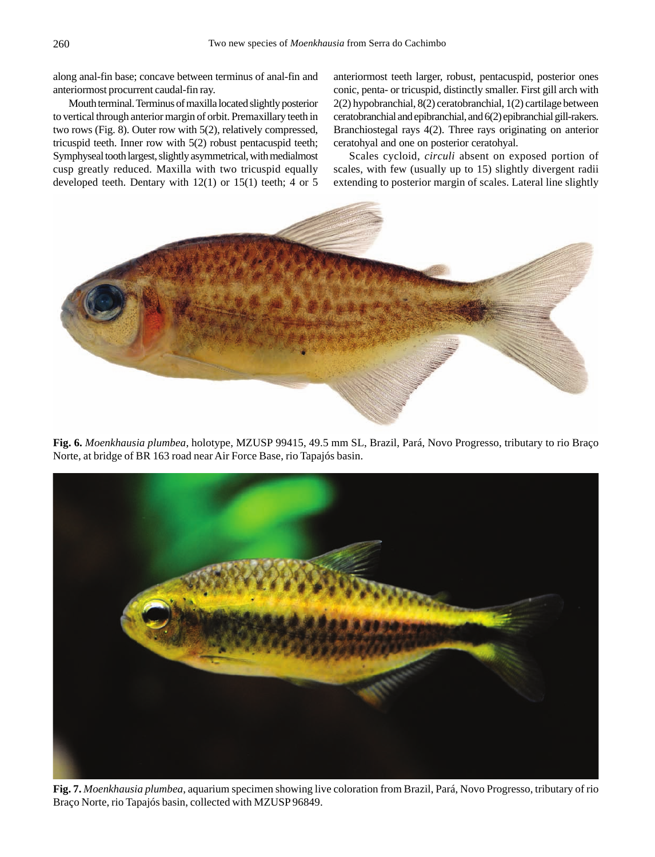along anal-fin base; concave between terminus of anal-fin and anteriormost procurrent caudal-fin ray.

Mouth terminal. Terminus of maxilla located slightly posterior to vertical through anterior margin of orbit. Premaxillary teeth in two rows (Fig. 8). Outer row with 5(2), relatively compressed, tricuspid teeth. Inner row with 5(2) robust pentacuspid teeth; Symphyseal tooth largest, slightly asymmetrical, with medialmost cusp greatly reduced. Maxilla with two tricuspid equally developed teeth. Dentary with 12(1) or 15(1) teeth; 4 or 5

anteriormost teeth larger, robust, pentacuspid, posterior ones conic, penta- or tricuspid, distinctly smaller. First gill arch with 2(2) hypobranchial, 8(2) ceratobranchial, 1(2) cartilage between ceratobranchial and epibranchial, and 6(2) epibranchial gill-rakers. Branchiostegal rays 4(2). Three rays originating on anterior ceratohyal and one on posterior ceratohyal.

Scales cycloid, *circuli* absent on exposed portion of scales, with few (usually up to 15) slightly divergent radii extending to posterior margin of scales. Lateral line slightly



**Fig. 6.** *Moenkhausia plumbea*, holotype, MZUSP 99415, 49.5 mm SL, Brazil, Pará, Novo Progresso, tributary to rio Braço Norte, at bridge of BR 163 road near Air Force Base, rio Tapajós basin.



**Fig. 7.** *Moenkhausia plumbea*, aquarium specimen showing live coloration from Brazil, Pará, Novo Progresso, tributary of rio Braço Norte, rio Tapajós basin, collected with MZUSP 96849.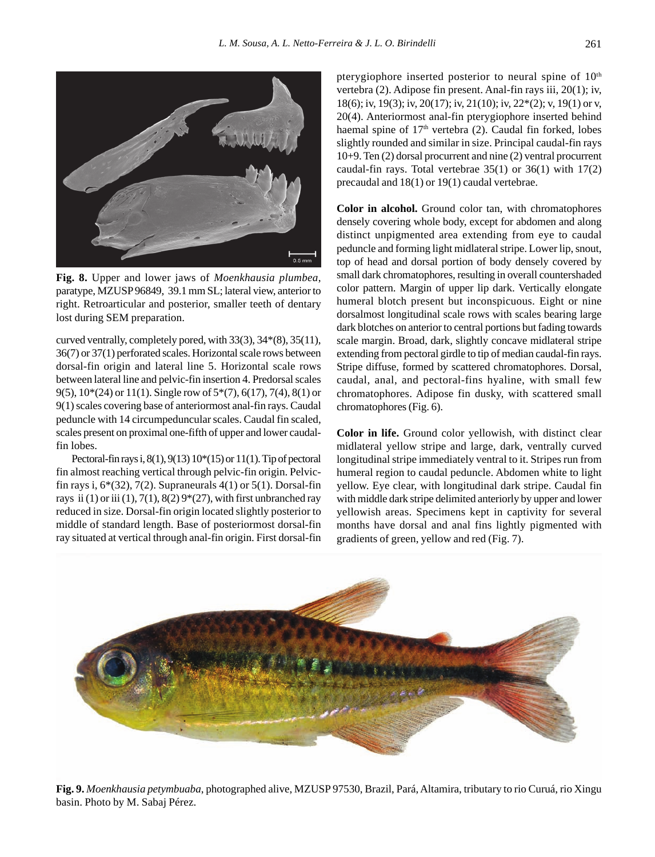

**Fig. 8.** Upper and lower jaws of *Moenkhausia plumbea*, paratype, MZUSP 96849, 39.1 mm SL; lateral view, anterior to right. Retroarticular and posterior, smaller teeth of dentary lost during SEM preparation.

curved ventrally, completely pored, with 33(3), 34\*(8), 35(11), 36(7) or 37(1) perforated scales. Horizontal scale rows between dorsal-fin origin and lateral line 5. Horizontal scale rows between lateral line and pelvic-fin insertion 4. Predorsal scales 9(5), 10\*(24) or 11(1). Single row of 5\*(7), 6(17), 7(4), 8(1) or 9(1) scales covering base of anteriormost anal-fin rays. Caudal peduncle with 14 circumpeduncular scales. Caudal fin scaled, scales present on proximal one-fifth of upper and lower caudalfin lobes.

Pectoral-fin rays i,  $8(1)$ ,  $9(13)$   $10*(15)$  or  $11(1)$ . Tip of pectoral fin almost reaching vertical through pelvic-fin origin. Pelvicfin rays i,  $6*(32)$ ,  $7(2)$ . Supraneurals  $4(1)$  or  $5(1)$ . Dorsal-fin rays ii (1) or iii (1), 7(1), 8(2)  $9*(27)$ , with first unbranched ray reduced in size. Dorsal-fin origin located slightly posterior to middle of standard length. Base of posteriormost dorsal-fin ray situated at vertical through anal-fin origin. First dorsal-fin pterygiophore inserted posterior to neural spine of  $10<sup>th</sup>$ vertebra (2). Adipose fin present. Anal-fin rays iii, 20(1); iv, 18(6); iv, 19(3); iv, 20(17); iv, 21(10); iv, 22\*(2); v, 19(1) or v, 20(4). Anteriormost anal-fin pterygiophore inserted behind haemal spine of  $17<sup>th</sup>$  vertebra (2). Caudal fin forked, lobes slightly rounded and similar in size. Principal caudal-fin rays 10+9. Ten (2) dorsal procurrent and nine (2) ventral procurrent caudal-fin rays. Total vertebrae 35(1) or 36(1) with 17(2) precaudal and 18(1) or 19(1) caudal vertebrae.

**Color in alcohol.** Ground color tan, with chromatophores densely covering whole body, except for abdomen and along distinct unpigmented area extending from eye to caudal peduncle and forming light midlateral stripe. Lower lip, snout, top of head and dorsal portion of body densely covered by small dark chromatophores, resulting in overall countershaded color pattern. Margin of upper lip dark. Vertically elongate humeral blotch present but inconspicuous. Eight or nine dorsalmost longitudinal scale rows with scales bearing large dark blotches on anterior to central portions but fading towards scale margin. Broad, dark, slightly concave midlateral stripe extending from pectoral girdle to tip of median caudal-fin rays. Stripe diffuse, formed by scattered chromatophores. Dorsal, caudal, anal, and pectoral-fins hyaline, with small few chromatophores. Adipose fin dusky, with scattered small chromatophores (Fig. 6).

**Color in life.** Ground color yellowish, with distinct clear midlateral yellow stripe and large, dark, ventrally curved longitudinal stripe immediately ventral to it. Stripes run from humeral region to caudal peduncle. Abdomen white to light yellow. Eye clear, with longitudinal dark stripe. Caudal fin with middle dark stripe delimited anteriorly by upper and lower yellowish areas. Specimens kept in captivity for several months have dorsal and anal fins lightly pigmented with gradients of green, yellow and red (Fig. 7).



**Fig. 9.** *Moenkhausia petymbuaba*, photographed alive, MZUSP 97530, Brazil, Pará, Altamira, tributary to rio Curuá, rio Xingu basin. Photo by M. Sabaj Pérez.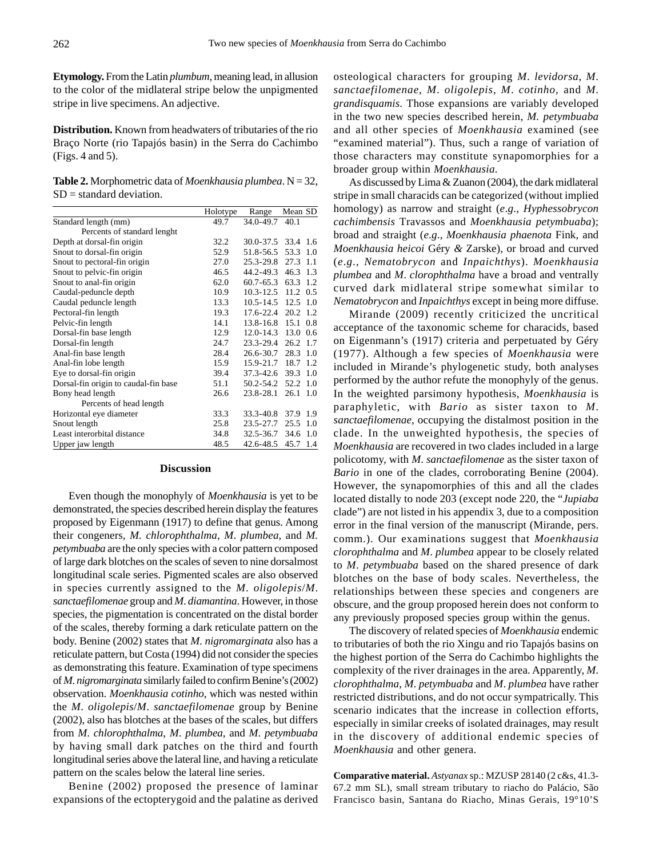**Etymology.** From the Latin *plumbum*, meaning lead, in allusion to the color of the midlateral stripe below the unpigmented stripe in live specimens. An adjective.

**Distribution.** Known from headwaters of tributaries of the rio Braço Norte (rio Tapajós basin) in the Serra do Cachimbo (Figs. 4 and 5).

**Table 2.** Morphometric data of *Moenkhausia plumbea*. N = 32, SD = standard deviation.

|                                      | Holotype | Range          | Mean SD     |
|--------------------------------------|----------|----------------|-------------|
| Standard length (mm)                 | 49.7     | 34.0-49.7      | 40.1        |
| Percents of standard lenght          |          |                |             |
| Depth at dorsal-fin origin           | 32.2     | 30.0-37.5      | 33.4<br>1.6 |
| Snout to dorsal-fin origin           | 52.9     | 51.8-56.5 53.3 | 1.0         |
| Snout to pectoral-fin origin         | 27.0     | 25.3-29.8 27.3 | 1.1         |
| Snout to pelvic-fin origin           | 46.5     | 44.2-49.3      | 46.3<br>1.3 |
| Snout to anal-fin origin             | 62.0     | 60.7-65.3      | 63.3<br>1.2 |
| Caudal-peduncle depth                | 10.9     | $10.3 - 12.5$  | 11.2<br>0.5 |
| Caudal peduncle length               | 13.3     | 10.5-14.5 12.5 | 1.0         |
| Pectoral-fin length                  | 19.3     | 17.6-22.4      | 20.2<br>1.2 |
| Pelvic-fin length                    | 14.1     | $13.8 - 16.8$  | 15.1<br>0.8 |
| Dorsal-fin base length               | 12.9     | 12.0-14.3      | 0.6<br>13.0 |
| Dorsal-fin length                    | 24.7     | $23.3 - 29.4$  | 26.2<br>1.7 |
| Anal-fin base length                 | 28.4     | 26.6-30.7      | 28.3<br>1.0 |
| Anal-fin lobe length                 | 15.9     | 15.9-21.7      | 18.7<br>1.2 |
| Eye to dorsal-fin origin             | 39.4     | 37.3-42.6 39.3 | 1.0         |
| Dorsal-fin origin to caudal-fin base | 51.1     | 50.2-54.2      | 52.2<br>1.0 |
| Bony head length                     | 26.6     | $23.8 - 28.1$  | 26.1<br>1.0 |
| Percents of head length              |          |                |             |
| Horizontal eye diameter              | 33.3     | $33.3 - 40.8$  | 37.9<br>1.9 |
| Snout length                         | 25.8     | $23.5 - 27.7$  | 25.5<br>1.0 |
| Least interorbital distance          | 34.8     | 32.5-36.7      | 34.6<br>1.0 |
| Upper jaw length                     | 48.5     | 42.6-48.5      | 45.7<br>1.4 |

#### **Discussion**

Even though the monophyly of *Moenkhausia* is yet to be demonstrated, the species described herein display the features proposed by Eigenmann (1917) to define that genus. Among their congeners, *M. chlorophthalma*, *M*. *plumbea*, and *M. petymbuaba* are the only species with a color pattern composed of large dark blotches on the scales of seven to nine dorsalmost longitudinal scale series. Pigmented scales are also observed in species currently assigned to the *M*. *oligolepis*/*M*. *sanctaefilomenae* group and *M*. *diamantina*. However, in those species, the pigmentation is concentrated on the distal border of the scales, thereby forming a dark reticulate pattern on the body. Benine (2002) states that *M*. *nigromarginata* also has a reticulate pattern, but Costa (1994) did not consider the species as demonstrating this feature. Examination of type specimens of *M*. *nigromarginata* similarly failed to confirm Benine's (2002) observation. *Moenkhausia cotinho*, which was nested within the *M*. *oligolepis*/*M*. *sanctaefilomenae* group by Benine (2002), also has blotches at the bases of the scales, but differs from *M*. *chlorophthalma*, *M*. *plumbea*, and *M*. *petymbuaba* by having small dark patches on the third and fourth longitudinal series above the lateral line, and having a reticulate pattern on the scales below the lateral line series.

Benine (2002) proposed the presence of laminar expansions of the ectopterygoid and the palatine as derived

osteological characters for grouping *M*. *levidorsa*, *M*. *sanctaefilomenae*, *M*. *oligolepis*, *M*. *cotinho*, and *M*. *grandisquamis*. Those expansions are variably developed in the two new species described herein, *M. petymbuaba* and all other species of *Moenkhausia* examined (see "examined material"). Thus, such a range of variation of those characters may constitute synapomorphies for a broader group within *Moenkhausia.*

As discussed by Lima & Zuanon (2004), the dark midlateral stripe in small characids can be categorized (without implied homology) as narrow and straight (*e*.*g*., *Hyphessobrycon cachimbensis* Travassos and *Moenkhausia petymbuaba*); broad and straight (*e*.*g*., *Moenkhausia phaenota* Fink, and *Moenkhausia heicoi* Géry *&* Zarske), or broad and curved (*e*.*g*., *Nematobrycon* and *Inpaichthys*). *Moenkhausia plumbea* and *M*. *clorophthalma* have a broad and ventrally curved dark midlateral stripe somewhat similar to *Nematobrycon* and *Inpaichthys* except in being more diffuse.

Mirande (2009) recently criticized the uncritical acceptance of the taxonomic scheme for characids, based on Eigenmann's (1917) criteria and perpetuated by Géry (1977). Although a few species of *Moenkhausia* were included in Mirande's phylogenetic study, both analyses performed by the author refute the monophyly of the genus. In the weighted parsimony hypothesis, *Moenkhausia* is paraphyletic, with *Bario* as sister taxon to *M*. *sanctaefilomenae*, occupying the distalmost position in the clade. In the unweighted hypothesis, the species of *Moenkhausia* are recovered in two clades included in a large policotomy, with *M*. *sanctaefilomenae* as the sister taxon of *Bario* in one of the clades, corroborating Benine (2004). However, the synapomorphies of this and all the clades located distally to node 203 (except node 220, the "*Jupiaba* clade") are not listed in his appendix 3, due to a composition error in the final version of the manuscript (Mirande, pers. comm.). Our examinations suggest that *Moenkhausia clorophthalma* and *M*. *plumbea* appear to be closely related to *M*. *petymbuaba* based on the shared presence of dark blotches on the base of body scales. Nevertheless, the relationships between these species and congeners are obscure, and the group proposed herein does not conform to any previously proposed species group within the genus.

The discovery of related species of *Moenkhausia* endemic to tributaries of both the rio Xingu and rio Tapajós basins on the highest portion of the Serra do Cachimbo highlights the complexity of the river drainages in the area. Apparently, *M*. *clorophthalma*, *M*. *petymbuaba* and *M*. *plumbea* have rather restricted distributions, and do not occur sympatrically. This scenario indicates that the increase in collection efforts, especially in similar creeks of isolated drainages, may result in the discovery of additional endemic species of *Moenkhausia* and other genera.

**Comparative material.** *Astyanax* sp.: MZUSP 28140 (2 c&s, 41.3- 67.2 mm SL), small stream tributary to riacho do Palácio, São Francisco basin, Santana do Riacho, Minas Gerais, 19°10'S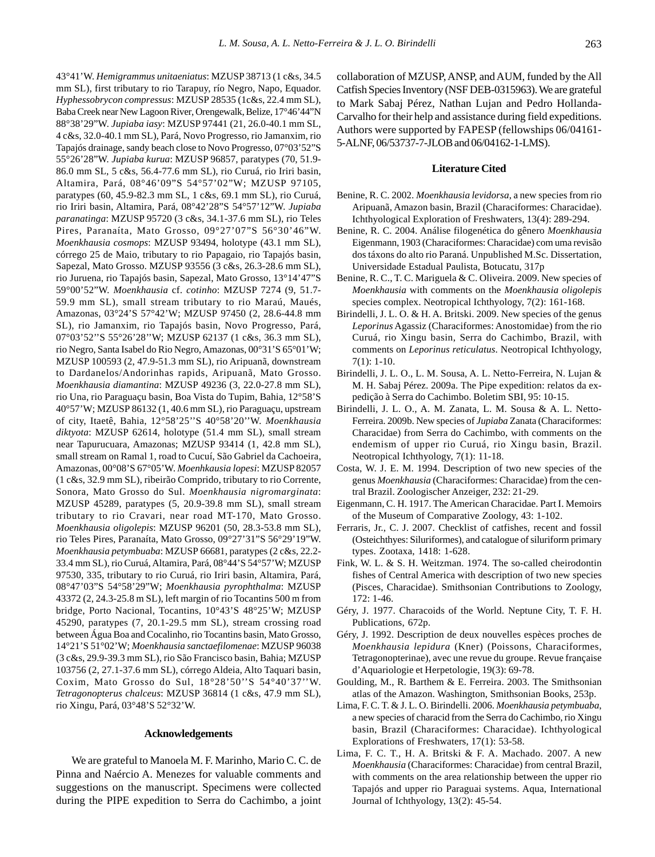43°41'W. *Hemigrammus unitaeniatus*: MZUSP 38713 (1 c&s, 34.5 mm SL), first tributary to rio Tarapuy, río Negro, Napo, Equador. *Hyphessobrycon compressus*: MZUSP 28535 (1c&s, 22.4 mm SL), Baba Creek near New Lagoon River, Orengewalk, Belize, 17°46'44"N 88°38'29"W. *Jupiaba iasy*: MZUSP 97441 (21, 26.0-40.1 mm SL, 4 c&s, 32.0-40.1 mm SL), Pará, Novo Progresso, rio Jamanxim, rio Tapajós drainage, sandy beach close to Novo Progresso, 07°03'52"S 55°26'28"W. *Jupiaba kurua*: MZUSP 96857, paratypes (70, 51.9- 86.0 mm SL, 5 c&s, 56.4-77.6 mm SL), rio Curuá, rio Iriri basin, Altamira, Pará, 08°46'09"S 54°57'02"W; MZUSP 97105, paratypes (60, 45.9-82.3 mm SL, 1 c&s, 69.1 mm SL), rio Curuá, rio Iriri basin, Altamira, Pará, 08°42'28"S 54°57'12"W. *Jupiaba paranatinga*: MZUSP 95720 (3 c&s, 34.1-37.6 mm SL), rio Teles Pires, Paranaíta, Mato Grosso, 09°27'07"S 56°30'46"W. *Moenkhausia cosmops*: MZUSP 93494, holotype (43.1 mm SL), córrego 25 de Maio, tributary to rio Papagaio, rio Tapajós basin, Sapezal, Mato Grosso. MZUSP 93556 (3 c&s, 26.3-28.6 mm SL), rio Juruena, rio Tapajós basin, Sapezal, Mato Grosso, 13°14'47"S 59°00'52"W. *Moenkhausia* cf. *cotinho*: MZUSP 7274 (9, 51.7- 59.9 mm SL), small stream tributary to rio Maraú, Maués, Amazonas, 03°24'S 57°42'W; MZUSP 97450 (2, 28.6-44.8 mm SL), rio Jamanxim, rio Tapajós basin, Novo Progresso, Pará, 07°03'52''S 55°26'28''W; MZUSP 62137 (1 c&s, 36.3 mm SL), rio Negro, Santa Isabel do Rio Negro, Amazonas, 00°31'S 65°01'W; MZUSP 100593 (2, 47.9-51.3 mm SL), rio Aripuanã, downstream to Dardanelos/Andorinhas rapids, Aripuanã, Mato Grosso. *Moenkhausia diamantina*: MZUSP 49236 (3, 22.0-27.8 mm SL), rio Una, rio Paraguaçu basin, Boa Vista do Tupim, Bahia, 12°58'S 40°57'W; MZUSP 86132 (1, 40.6 mm SL), rio Paraguaçu, upstream of city, Itaetê, Bahia, 12°58'25''S 40°58'20''W. *Moenkhausia diktyota*: MZUSP 62614, holotype (51.4 mm SL), small stream near Tapurucuara, Amazonas; MZUSP 93414 (1, 42.8 mm SL), small stream on Ramal 1, road to Cucuí, São Gabriel da Cachoeira, Amazonas, 00°08'S 67°05'W. *Moenhkausia lopesi*: MZUSP 82057 (1 c&s, 32.9 mm SL), ribeirão Comprido, tributary to rio Corrente, Sonora, Mato Grosso do Sul. *Moenkhausia nigromarginata*: MZUSP 45289, paratypes (5, 20.9-39.8 mm SL), small stream tributary to rio Cravari, near road MT-170, Mato Grosso. *Moenkhausia oligolepis*: MZUSP 96201 (50, 28.3-53.8 mm SL), rio Teles Pires, Paranaíta, Mato Grosso, 09°27'31"S 56°29'19"W. *Moenkhausia petymbuaba*: MZUSP 66681, paratypes (2 c&s, 22.2- 33.4 mm SL), rio Curuá, Altamira, Pará, 08°44'S 54°57'W; MZUSP 97530, 335, tributary to rio Curuá, rio Iriri basin, Altamira, Pará, 08°47'03"S 54°58'29"W; *Moenkhausia pyrophthalma*: MZUSP 43372 (2, 24.3-25.8 m SL), left margin of rio Tocantins 500 m from bridge, Porto Nacional, Tocantins, 10°43'S 48°25'W; MZUSP 45290, paratypes (7, 20.1-29.5 mm SL), stream crossing road between Água Boa and Cocalinho, rio Tocantins basin, Mato Grosso, 14°21'S 51°02'W; *Moenkhausia sanctaefilomenae*: MZUSP 96038 (3 c&s, 29.9-39.3 mm SL), rio São Francisco basin, Bahia; MZUSP 103756 (2, 27.1-37.6 mm SL), córrego Aldeia, Alto Taquari basin, Coxim, Mato Grosso do Sul, 18°28'50''S 54°40'37''W. *Tetragonopterus chalceus*: MZUSP 36814 (1 c&s, 47.9 mm SL), rio Xingu, Pará, 03°48'S 52°32'W.

#### **Acknowledgements**

We are grateful to Manoela M. F. Marinho, Mario C. C. de Pinna and Naércio A. Menezes for valuable comments and suggestions on the manuscript. Specimens were collected during the PIPE expedition to Serra do Cachimbo, a joint collaboration of MZUSP, ANSP, and AUM, funded by the All Catfish Species Inventory (NSF DEB-0315963). We are grateful to Mark Sabaj Pérez, Nathan Lujan and Pedro Hollanda-Carvalho for their help and assistance during field expeditions. Authors were supported by FAPESP (fellowships 06/04161- 5-ALNF, 06/53737-7-JLOB and 06/04162-1-LMS).

#### **Literature Cited**

- Benine, R. C. 2002. *Moenkhausia levidorsa*, a new species from rio Aripuanã, Amazon basin, Brazil (Characiformes: Characidae). Ichthyological Exploration of Freshwaters, 13(4): 289-294.
- Benine, R. C. 2004. Análise filogenética do gênero *Moenkhausia* Eigenmann, 1903 (Characiformes: Characidae) com uma revisão dos táxons do alto rio Paraná. Unpublished M.Sc. Dissertation, Universidade Estadual Paulista, Botucatu, 317p
- Benine, R. C., T. C. Mariguela & C. Oliveira. 2009. New species of *Moenkhausia* with comments on the *Moenkhausia oligolepis* species complex. Neotropical Ichthyology, 7(2): 161-168.
- Birindelli, J. L. O. & H. A. Britski. 2009. New species of the genus *Leporinus* Agassiz (Characiformes: Anostomidae) from the rio Curuá, rio Xingu basin, Serra do Cachimbo, Brazil, with comments on *Leporinus reticulatus*. Neotropical Ichthyology, 7(1): 1-10.
- Birindelli, J. L. O., L. M. Sousa, A. L. Netto-Ferreira, N. Lujan & M. H. Sabaj Pérez. 2009a. The Pipe expedition: relatos da expedição à Serra do Cachimbo. Boletim SBI, 95: 10-15.
- Birindelli, J. L. O., A. M. Zanata, L. M. Sousa & A. L. Netto-Ferreira. 2009b. New species of *Jupiaba* Zanata (Characiformes: Characidae) from Serra do Cachimbo, with comments on the endemism of upper rio Curuá, rio Xingu basin, Brazil. Neotropical Ichthyology, 7(1): 11-18.
- Costa, W. J. E. M. 1994. Description of two new species of the genus *Moenkhausia* (Characiformes: Characidae) from the central Brazil. Zoologischer Anzeiger, 232: 21-29.
- Eigenmann, C. H. 1917. The American Characidae. Part I. Memoirs of the Museum of Comparative Zoology, 43: 1-102.
- Ferraris, Jr., C. J. 2007. Checklist of catfishes, recent and fossil (Osteichthyes: Siluriformes), and catalogue of siluriform primary types. Zootaxa, 1418: 1-628.
- Fink, W. L. & S. H. Weitzman. 1974. The so-called cheirodontin fishes of Central America with description of two new species (Pisces, Characidae). Smithsonian Contributions to Zoology, 172: 1-46.
- Géry, J. 1977. Characoids of the World. Neptune City, T. F. H. Publications, 672p.
- Géry, J. 1992. Description de deux nouvelles espèces proches de *Moenkhausia lepidura* (Kner) (Poissons, Characiformes, Tetragonopterinae), avec une revue du groupe. Revue française d'Aquariologie et Herpetologie, 19(3): 69-78.
- Goulding, M., R. Barthem & E. Ferreira. 2003. The Smithsonian atlas of the Amazon. Washington, Smithsonian Books, 253p.
- Lima, F. C. T. & J. L. O. Birindelli. 2006. *Moenkhausia petymbuaba*, a new species of characid from the Serra do Cachimbo, rio Xingu basin, Brazil (Characiformes: Characidae). Ichthyological Explorations of Freshwaters, 17(1): 53-58.
- Lima, F. C. T., H. A. Britski & F. A. Machado. 2007. A new *Moenkhausia* (Characiformes: Characidae) from central Brazil, with comments on the area relationship between the upper rio Tapajós and upper rio Paraguai systems. Aqua, International Journal of Ichthyology, 13(2): 45-54.